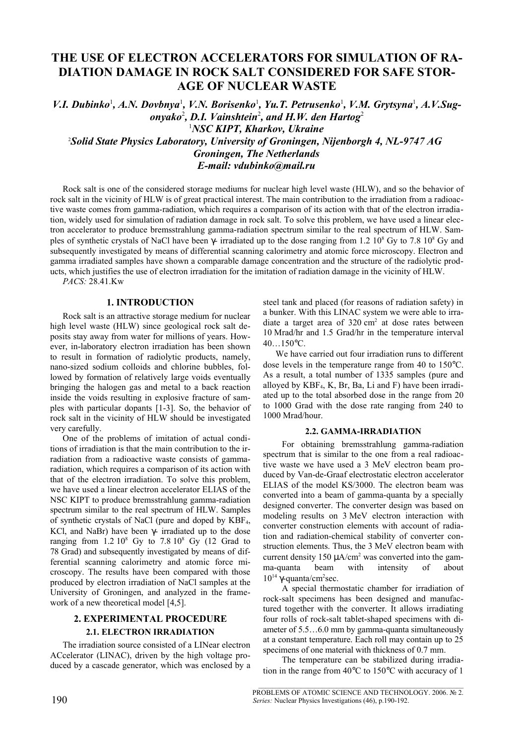# **THE USE OF ELECTRON ACCELERATORS FOR SIMULATION OF RA-DIATION DAMAGE IN ROCK SALT CONSIDERED FOR SAFE STOR-AGE OF NUCLEAR WASTE**

*V.I. Dubinko<sup>1</sup>, A.N. Dovbnya<sup>1</sup>, V.N. Borisenko<sup>1</sup>, Yu.T. Petrusenko<sup>1</sup>, V.M. Grytsyna<sup>1</sup>, A.V.Sugonyako*<sup>2</sup> *, D.I. Vainshtein* 2 *, and H.W. den Hartog*<sup>2</sup> <sup>1</sup>*NSC KIPT, Kharkov, Ukraine* <sup>2</sup>*Solid State Physics Laboratory, University of Groningen, Nijenborgh 4, NL-9747 AG Groningen, The Netherlands E-mail: [vdubinko@mail.ru](mailto:vdubinko@mail.ru)*

Rock salt is one of the considered storage mediums for nuclear high level waste (HLW), and so the behavior of rock salt in the vicinity of HLW is of great practical interest. The main contribution to the irradiation from a radioactive waste comes from gamma-radiation, which requires a comparison of its action with that of the electron irradiation, widely used for simulation of radiation damage in rock salt. To solve this problem, we have used a linear electron accelerator to produce bremsstrahlung gamma-radiation spectrum similar to the real spectrum of HLW. Samples of synthetic crystals of NaCl have been  $\gamma$ - irradiated up to the dose ranging from 1.2 10<sup>8</sup> Gy to 7.8 10<sup>8</sup> Gy and subsequently investigated by means of differential scanning calorimetry and atomic force microscopy. Electron and gamma irradiated samples have shown a comparable damage concentration and the structure of the radiolytic products, which justifies the use of electron irradiation for the imitation of radiation damage in the vicinity of HLW.

*PACS:* 28.41.Kw

### **1. INTRODUCTION**

Rock salt is an attractive storage medium for nuclear high level waste (HLW) since geological rock salt deposits stay away from water for millions of years. However, in-laboratory electron irradiation has been shown to result in formation of radiolytic products, namely, nano-sized sodium colloids and chlorine bubbles, followed by formation of relatively large voids eventually bringing the halogen gas and metal to a back reaction inside the voids resulting in explosive fracture of samples with particular dopants [1-3]. So, the behavior of rock salt in the vicinity of HLW should be investigated very carefully.

One of the problems of imitation of actual conditions of irradiation is that the main contribution to the irradiation from a radioactive waste consists of gammaradiation, which requires a comparison of its action with that of the electron irradiation. To solve this problem, we have used a linear electron accelerator ELIAS of the NSC KIPT to produce bremsstrahlung gamma-radiation spectrum similar to the real spectrum of HLW. Samples of synthetic crystals of NaCl (pure and doped by KBF4, KCl, and NaBr) have been γ- irradiated up to the dose ranging from  $1.2\ 10^8$  Gy to  $7.8\ 10^8$  Gy (12 Grad to 78 Grad) and subsequently investigated by means of differential scanning calorimetry and atomic force microscopy. The results have been compared with those produced by electron irradiation of NaCl samples at the University of Groningen, and analyzed in the framework of a new theoretical model [4,5].

## **2. EXPERIMENTAL PROCEDURE 2.1. ELECTRON IRRADIATION**

The irradiation source consisted of a LINear electron ACcelerator (LINAC), driven by the high voltage produced by a cascade generator, which was enclosed by a steel tank and placed (for reasons of radiation safety) in a bunker. With this LINAC system we were able to irradiate a target area of 320 cm 2 at dose rates between 10 Mrad/hr and 1.5 Grad/hr in the temperature interval 40…150°C.

We have carried out four irradiation runs to different dose levels in the temperature range from 40 to 150°C. As a result, a total number of 1335 samples (pure and alloyed by  $KBF<sub>4</sub>, K, Br, Ba, Li and F)$  have been irradiated up to the total absorbed dose in the range from 20 to 1000 Grad with the dose rate ranging from 240 to 1000 Mrad/hour.

#### **2.2. GAMMA-IRRADIATION**

For obtaining bremsstrahlung gamma-radiation spectrum that is similar to the one from a real radioactive waste we have used a 3 MeV electron beam produced by Van-de-Graaf electrostatic electron accelerator ELIAS of the model KS/3000. The electron beam was converted into a beam of gamma-quanta by a specially designed converter. The converter design was based on modeling results on 3 MeV electron interaction with converter construction elements with account of radiation and radiation-chemical stability of converter construction elements. Thus, the 3 MeV electron beam with current density  $150 \mu A/cm^2$  was converted into the gamma-quanta beam with intensity of about  $10^{14}$  γ-quanta/cm<sup>2</sup>sec.

A special thermostatic chamber for irradiation of rock-salt specimens has been designed and manufactured together with the converter. It allows irradiating four rolls of rock-salt tablet-shaped specimens with diameter of 5.5…6.0 mm by gamma-quanta simultaneously at a constant temperature. Each roll may contain up to 25 specimens of one material with thickness of 0.7 mm.

The temperature can be stabilized during irradiation in the range from 40°C to 150°C with accuracy of 1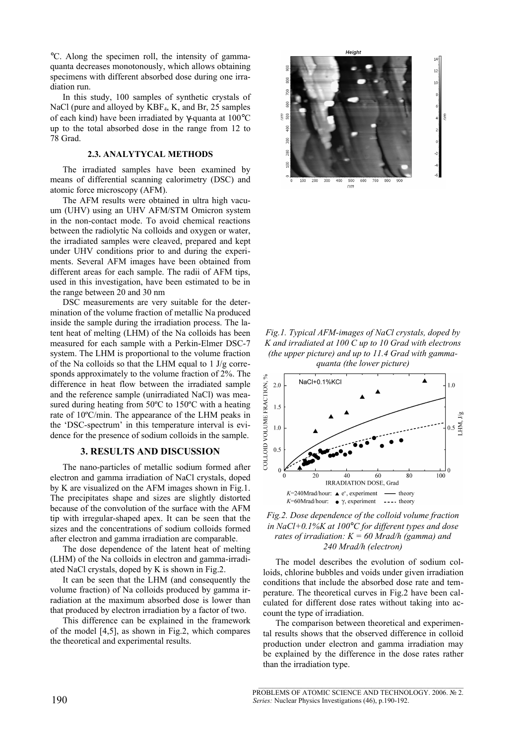°C. Along the specimen roll, the intensity of gammaquanta decreases monotonously, which allows obtaining specimens with different absorbed dose during one irradiation run.

In this study, 100 samples of synthetic crystals of NaCl (pure and alloyed by KBF4, K, and Br, 25 samples of each kind) have been irradiated by γ-quanta at 100°C up to the total absorbed dose in the range from 12 to 78 Grad.

### **2.3. ANALYTYCAL METHODS**

The irradiated samples have been examined by means of differential scanning calorimetry (DSC) and atomic force microscopy (AFM).

The AFM results were obtained in ultra high vacuum (UHV) using an UHV AFM/STM Omicron system in the non-contact mode. To avoid chemical reactions between the radiolytic Na colloids and oxygen or water, the irradiated samples were cleaved, prepared and kept under UHV conditions prior to and during the experiments. Several AFM images have been obtained from different areas for each sample. The radii of AFM tips, used in this investigation, have been estimated to be in the range between 20 and 30 nm

DSC measurements are very suitable for the determination of the volume fraction of metallic Na produced inside the sample during the irradiation process. The latent heat of melting (LHM) of the Na colloids has been measured for each sample with a Perkin-Elmer DSC-7 system. The LHM is proportional to the volume fraction of the Na colloids so that the LHM equal to 1 J/g corresponds approximately to the volume fraction of 2%. The difference in heat flow between the irradiated sample and the reference sample (unirradiated NaCl) was measured during heating from 50ºC to 150ºC with a heating rate of 10ºC/min. The appearance of the LHM peaks in the 'DSC-spectrum' in this temperature interval is evidence for the presence of sodium colloids in the sample.

### **3. RESULTS AND DISCUSSION**

The nano-particles of metallic sodium formed after electron and gamma irradiation of NaCl crystals, doped by K are visualized on the AFM images shown in Fig.1. The precipitates shape and sizes are slightly distorted because of the convolution of the surface with the AFM tip with irregular-shaped apex. It can be seen that the sizes and the concentrations of sodium colloids formed after electron and gamma irradiation are comparable.

The dose dependence of the latent heat of melting (LHM) of the Na colloids in electron and gamma-irradiated NaCl crystals, doped by K is shown in Fig.2.

It can be seen that the LHM (and consequently the volume fraction) of Na colloids produced by gamma irradiation at the maximum absorbed dose is lower than that produced by electron irradiation by a factor of two.

This difference can be explained in the framework of the model [4,5], as shown in Fig.2, which compares the theoretical and experimental results.



*Fig.1. Typical AFM-images of NaCl crystals, doped by K and irradiated at 100 C up to 10 Grad with electrons (the upper picture) and up to 11.4 Grad with gammaquanta (the lower picture)*



*Fig.2. Dose dependence of the colloid volume fraction in NaCl+0.1%K at 100*°*C for different types and dose rates of irradiation: K = 60 Mrad/h (gamma) and 240 Mrad/h (electron)*

The model describes the evolution of sodium colloids, chlorine bubbles and voids under given irradiation conditions that include the absorbed dose rate and temperature. The theoretical curves in Fig.2 have been calculated for different dose rates without taking into account the type of irradiation.

The comparison between theoretical and experimental results shows that the observed difference in colloid production under electron and gamma irradiation may be explained by the difference in the dose rates rather than the irradiation type.